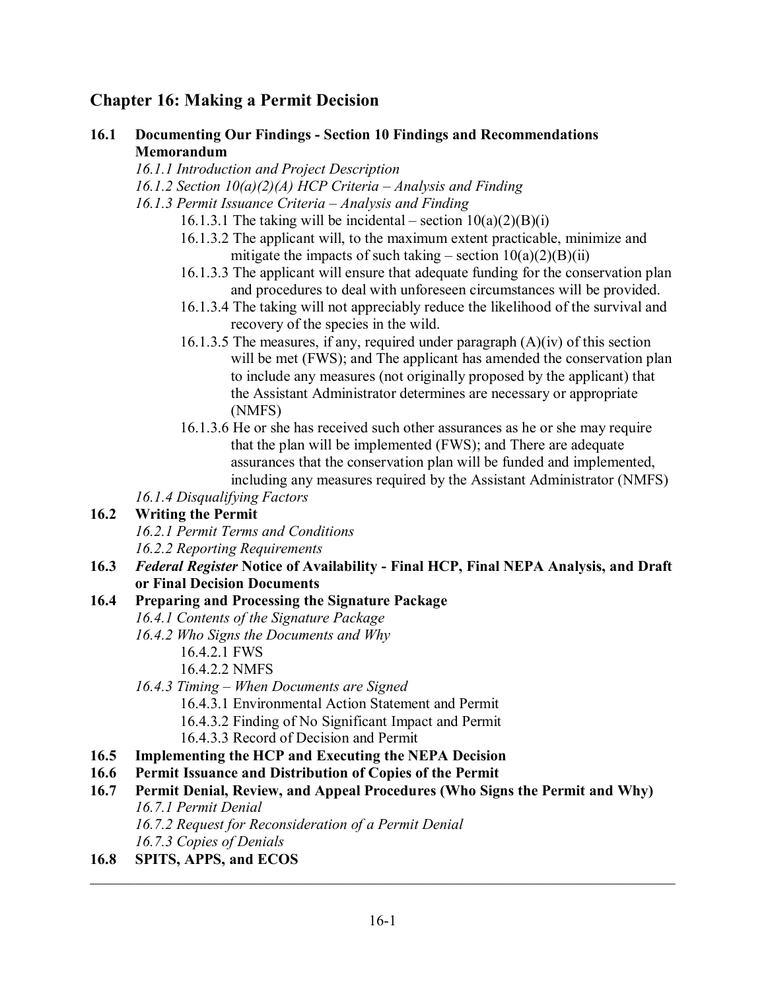# **Chapter 16: Making a Permit Decision**

#### **16.1 Documenting Our Findings - Section 10 Findings and Recommendations Memorandum**

*16.1.1 Introduction and Project Description*

- *16.1.2 Section 10(a)(2)(A) HCP Criteria – Analysis and Finding*
- *16.1.3 Permit Issuance Criteria – Analysis and Finding*
	- 16.1.3.1 The taking will be incidental section  $10(a)(2)(B)(i)$
	- 16.1.3.2 The applicant will, to the maximum extent practicable, minimize and mitigate the impacts of such taking – section  $10(a)(2)(B)(ii)$
	- 16.1.3.3 The applicant will ensure that adequate funding for the conservation plan and procedures to deal with unforeseen circumstances will be provided.
	- 16.1.3.4 The taking will not appreciably reduce the likelihood of the survival and recovery of the species in the wild.
	- 16.1.3.5 The measures, if any, required under paragraph  $(A)(iv)$  of this section will be met (FWS); and The applicant has amended the conservation plan to include any measures (not originally proposed by the applicant) that the Assistant Administrator determines are necessary or appropriate (NMFS)
	- 16.1.3.6 He or she has received such other assurances as he or she may require that the plan will be implemented (FWS); and There are adequate assurances that the conservation plan will be funded and implemented, including any measures required by the Assistant Administrator (NMFS)

*16.1.4 Disqualifying Factors*

# **16.2 Writing the Permit**

*16.2.1 Permit Terms and Conditions 16.2.2 Reporting Requirements*

#### **16.3** *Federal Register* **Notice of Availability - Final HCP, Final NEPA Analysis, and Draft or Final Decision Documents**

# **16.4 Preparing and Processing the Signature Package**

*16.4.1 Contents of the Signature Package*

- *16.4.2 Who Signs the Documents and Why*
	- 16.4.2.1 FWS
	- 16.4.2.2 NMFS
- *16.4.3 Timing – When Documents are Signed*
	- 16.4.3.1 Environmental Action Statement and Permit
	- 16.4.3.2 Finding of No Significant Impact and Permit
	- 16.4.3.3 Record of Decision and Permit
- **16.5 Implementing the HCP and Executing the NEPA Decision**
- **16.6 Permit Issuance and Distribution of Copies of the Permit**

# **16.7 Permit Denial, Review, and Appeal Procedures (Who Signs the Permit and Why)** *16.7.1 Permit Denial*

*16.7.2 Request for Reconsideration of a Permit Denial*

- *16.7.3 Copies of Denials*
- **16.8 SPITS, APPS, and ECOS**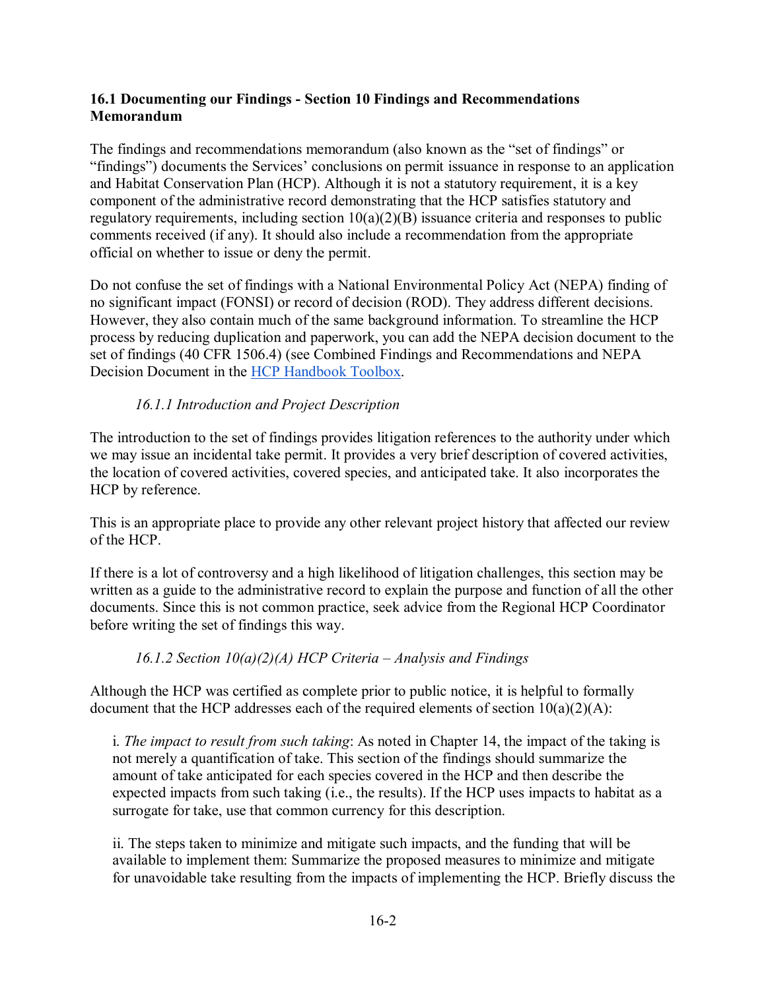#### **16.1 Documenting our Findings - Section 10 Findings and Recommendations Memorandum**

The findings and recommendations memorandum (also known as the "set of findings" or "findings") documents the Services' conclusions on permit issuance in response to an application and Habitat Conservation Plan (HCP). Although it is not a statutory requirement, it is a key component of the administrative record demonstrating that the HCP satisfies statutory and regulatory requirements, including section 10(a)(2)(B) issuance criteria and responses to public comments received (if any). It should also include a recommendation from the appropriate official on whether to issue or deny the permit.

Do not confuse the set of findings with a National Environmental Policy Act (NEPA) finding of no significant impact (FONSI) or record of decision (ROD). They address different decisions. However, they also contain much of the same background information. To streamline the HCP process by reducing duplication and paperwork, you can add the NEPA decision document to the set of findings (40 CFR 1506.4) (see Combined Findings and Recommendations and NEPA Decision Document in the [HCP Handbook Toolbox.](https://www.fws.gov/endangered/what-we-do/hcp-handbook-toolbox.html)

# *16.1.1 Introduction and Project Description*

The introduction to the set of findings provides litigation references to the authority under which we may issue an incidental take permit. It provides a very brief description of covered activities, the location of covered activities, covered species, and anticipated take. It also incorporates the HCP by reference.

This is an appropriate place to provide any other relevant project history that affected our review of the HCP.

If there is a lot of controversy and a high likelihood of litigation challenges, this section may be written as a guide to the administrative record to explain the purpose and function of all the other documents. Since this is not common practice, seek advice from the Regional HCP Coordinator before writing the set of findings this way.

# *16.1.2 Section 10(a)(2)(A) HCP Criteria – Analysis and Findings*

Although the HCP was certified as complete prior to public notice, it is helpful to formally document that the HCP addresses each of the required elements of section  $10(a)(2)(A)$ :

i. *The impact to result from such taking*: As noted in Chapter 14, the impact of the taking is not merely a quantification of take. This section of the findings should summarize the amount of take anticipated for each species covered in the HCP and then describe the expected impacts from such taking (i.e., the results). If the HCP uses impacts to habitat as a surrogate for take, use that common currency for this description.

ii. The steps taken to minimize and mitigate such impacts, and the funding that will be available to implement them: Summarize the proposed measures to minimize and mitigate for unavoidable take resulting from the impacts of implementing the HCP. Briefly discuss the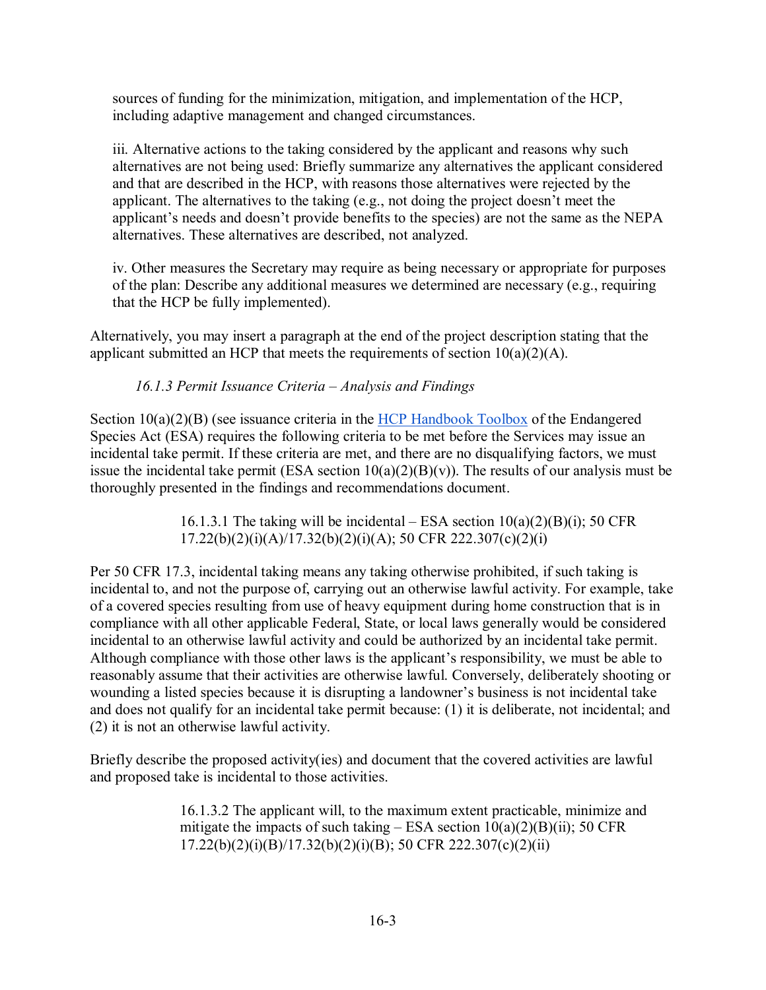sources of funding for the minimization, mitigation, and implementation of the HCP, including adaptive management and changed circumstances.

iii. Alternative actions to the taking considered by the applicant and reasons why such alternatives are not being used: Briefly summarize any alternatives the applicant considered and that are described in the HCP, with reasons those alternatives were rejected by the applicant. The alternatives to the taking (e.g., not doing the project doesn't meet the applicant's needs and doesn't provide benefits to the species) are not the same as the NEPA alternatives. These alternatives are described, not analyzed.

iv. Other measures the Secretary may require as being necessary or appropriate for purposes of the plan: Describe any additional measures we determined are necessary (e.g., requiring that the HCP be fully implemented).

Alternatively, you may insert a paragraph at the end of the project description stating that the applicant submitted an HCP that meets the requirements of section  $10(a)(2)(A)$ .

# *16.1.3 Permit Issuance Criteria – Analysis and Findings*

Section  $10(a)(2)(B)$  (see issuance criteria in the [HCP Handbook Toolbox](https://www.fws.gov/endangered/what-we-do/hcp-handbook-toolbox.html#Ch16) of the Endangered Species Act (ESA) requires the following criteria to be met before the Services may issue an incidental take permit. If these criteria are met, and there are no disqualifying factors, we must issue the incidental take permit (ESA section  $10(a)(2)(B)(v)$ ). The results of our analysis must be thoroughly presented in the findings and recommendations document.

> 16.1.3.1 The taking will be incidental – ESA section  $10(a)(2)(B)(i)$ ; 50 CFR  $17.22(b)(2)(i)(A)/17.32(b)(2)(i)(A);$  50 CFR 222.307(c)(2)(i)

Per 50 CFR 17.3, incidental taking means any taking otherwise prohibited, if such taking is incidental to, and not the purpose of, carrying out an otherwise lawful activity. For example, take of a covered species resulting from use of heavy equipment during home construction that is in compliance with all other applicable Federal, State, or local laws generally would be considered incidental to an otherwise lawful activity and could be authorized by an incidental take permit. Although compliance with those other laws is the applicant's responsibility, we must be able to reasonably assume that their activities are otherwise lawful. Conversely, deliberately shooting or wounding a listed species because it is disrupting a landowner's business is not incidental take and does not qualify for an incidental take permit because: (1) it is deliberate, not incidental; and (2) it is not an otherwise lawful activity.

Briefly describe the proposed activity(ies) and document that the covered activities are lawful and proposed take is incidental to those activities.

> 16.1.3.2 The applicant will, to the maximum extent practicable, minimize and mitigate the impacts of such taking – ESA section  $10(a)(2)(B)(ii)$ ; 50 CFR 17.22(b)(2)(i)(B)/17.32(b)(2)(i)(B); 50 CFR 222.307(c)(2)(ii)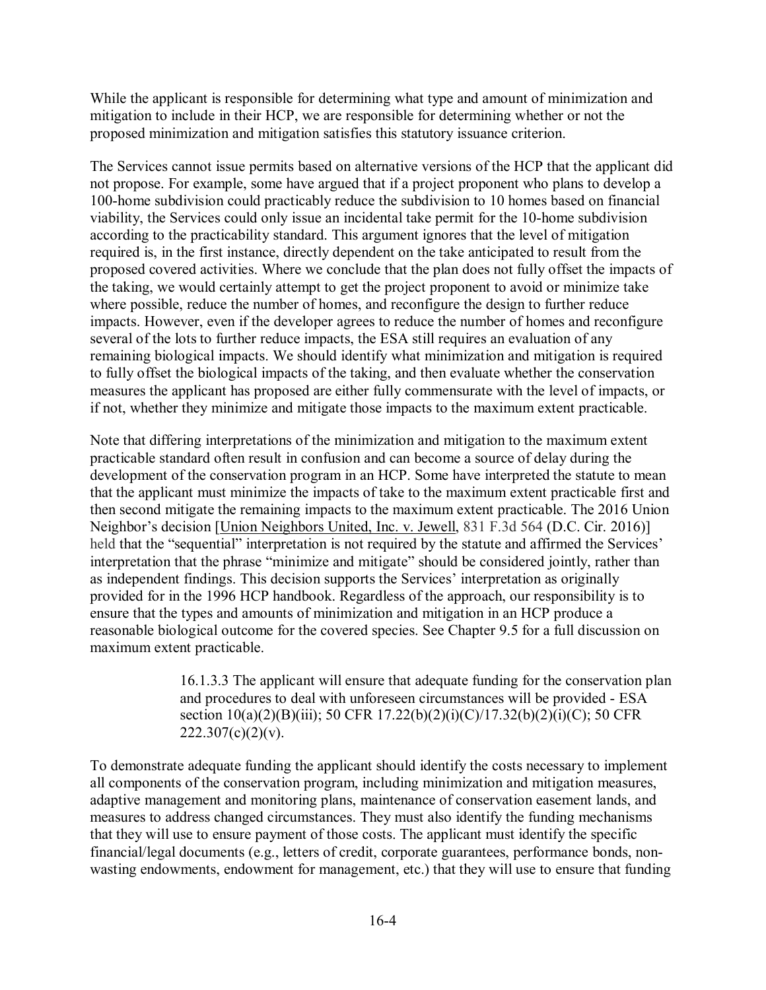While the applicant is responsible for determining what type and amount of minimization and mitigation to include in their HCP, we are responsible for determining whether or not the proposed minimization and mitigation satisfies this statutory issuance criterion.

The Services cannot issue permits based on alternative versions of the HCP that the applicant did not propose. For example, some have argued that if a project proponent who plans to develop a 100-home subdivision could practicably reduce the subdivision to 10 homes based on financial viability, the Services could only issue an incidental take permit for the 10-home subdivision according to the practicability standard. This argument ignores that the level of mitigation required is, in the first instance, directly dependent on the take anticipated to result from the proposed covered activities. Where we conclude that the plan does not fully offset the impacts of the taking, we would certainly attempt to get the project proponent to avoid or minimize take where possible, reduce the number of homes, and reconfigure the design to further reduce impacts. However, even if the developer agrees to reduce the number of homes and reconfigure several of the lots to further reduce impacts, the ESA still requires an evaluation of any remaining biological impacts. We should identify what minimization and mitigation is required to fully offset the biological impacts of the taking, and then evaluate whether the conservation measures the applicant has proposed are either fully commensurate with the level of impacts, or if not, whether they minimize and mitigate those impacts to the maximum extent practicable.

Note that differing interpretations of the minimization and mitigation to the maximum extent practicable standard often result in confusion and can become a source of delay during the development of the conservation program in an HCP. Some have interpreted the statute to mean that the applicant must minimize the impacts of take to the maximum extent practicable first and then second mitigate the remaining impacts to the maximum extent practicable. The 2016 Union Neighbor's decision [Union Neighbors United, Inc. v. Jewell, 831 F.3d 564 (D.C. Cir. 2016)] held that the "sequential" interpretation is not required by the statute and affirmed the Services' interpretation that the phrase "minimize and mitigate" should be considered jointly, rather than as independent findings. This decision supports the Services' interpretation as originally provided for in the 1996 HCP handbook. Regardless of the approach, our responsibility is to ensure that the types and amounts of minimization and mitigation in an HCP produce a reasonable biological outcome for the covered species. See Chapter 9.5 for a full discussion on maximum extent practicable.

> 16.1.3.3 The applicant will ensure that adequate funding for the conservation plan and procedures to deal with unforeseen circumstances will be provided - ESA section 10(a)(2)(B)(iii); 50 CFR 17.22(b)(2)(i)(C)/17.32(b)(2)(i)(C); 50 CFR  $222.307(c)(2)(v)$ .

To demonstrate adequate funding the applicant should identify the costs necessary to implement all components of the conservation program, including minimization and mitigation measures, adaptive management and monitoring plans, maintenance of conservation easement lands, and measures to address changed circumstances. They must also identify the funding mechanisms that they will use to ensure payment of those costs. The applicant must identify the specific financial/legal documents (e.g., letters of credit, corporate guarantees, performance bonds, nonwasting endowments, endowment for management, etc.) that they will use to ensure that funding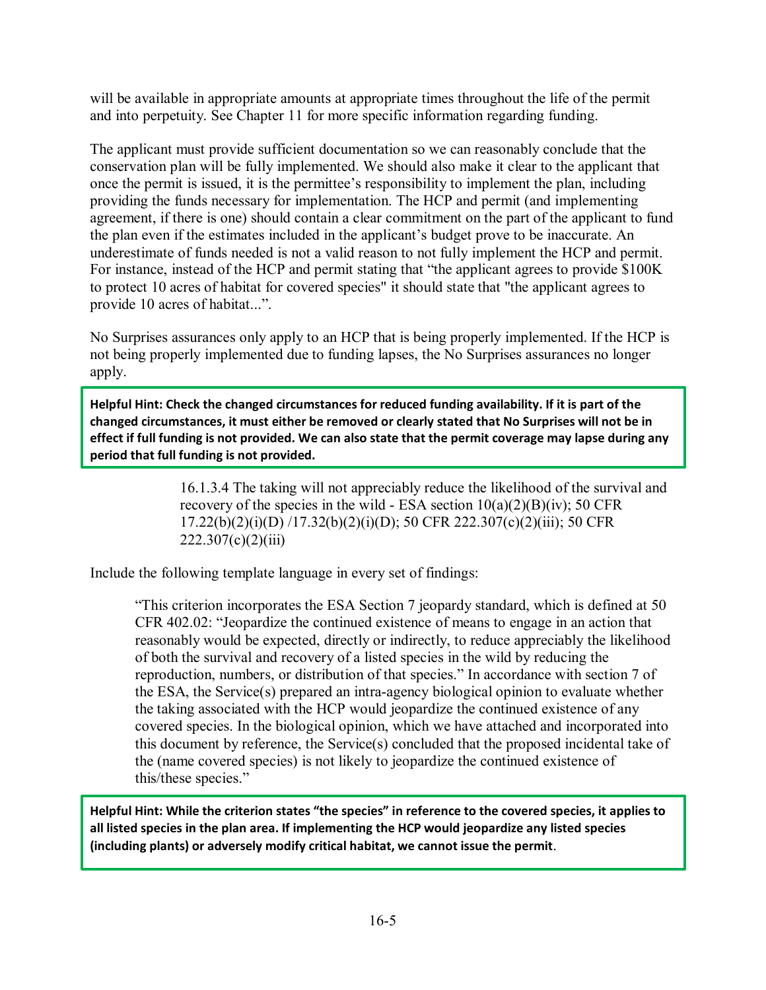will be available in appropriate amounts at appropriate times throughout the life of the permit and into perpetuity. See Chapter 11 for more specific information regarding funding.

The applicant must provide sufficient documentation so we can reasonably conclude that the conservation plan will be fully implemented. We should also make it clear to the applicant that once the permit is issued, it is the permittee's responsibility to implement the plan, including providing the funds necessary for implementation. The HCP and permit (and implementing agreement, if there is one) should contain a clear commitment on the part of the applicant to fund the plan even if the estimates included in the applicant's budget prove to be inaccurate. An underestimate of funds needed is not a valid reason to not fully implement the HCP and permit. For instance, instead of the HCP and permit stating that "the applicant agrees to provide \$100K to protect 10 acres of habitat for covered species" it should state that "the applicant agrees to provide 10 acres of habitat...".

No Surprises assurances only apply to an HCP that is being properly implemented. If the HCP is not being properly implemented due to funding lapses, the No Surprises assurances no longer apply.

**Helpful Hint: Check the changed circumstances for reduced funding availability. If it is part of the changed circumstances, it must either be removed or clearly stated that No Surprises will not be in effect if full funding is not provided. We can also state that the permit coverage may lapse during any period that full funding is not provided.**

> 16.1.3.4 The taking will not appreciably reduce the likelihood of the survival and recovery of the species in the wild - ESA section  $10(a)(2)(B)(iv)$ ; 50 CFR 17.22(b)(2)(i)(D) /17.32(b)(2)(i)(D); 50 CFR 222.307(c)(2)(iii); 50 CFR  $222.307(c)(2)(iii)$

Include the following template language in every set of findings:

"This criterion incorporates the ESA Section 7 jeopardy standard, which is defined at 50 CFR 402.02: "Jeopardize the continued existence of means to engage in an action that reasonably would be expected, directly or indirectly, to reduce appreciably the likelihood of both the survival and recovery of a listed species in the wild by reducing the reproduction, numbers, or distribution of that species." In accordance with section 7 of the ESA, the Service(s) prepared an intra-agency biological opinion to evaluate whether the taking associated with the HCP would jeopardize the continued existence of any covered species. In the biological opinion, which we have attached and incorporated into this document by reference, the Service(s) concluded that the proposed incidental take of the (name covered species) is not likely to jeopardize the continued existence of this/these species."

**Helpful Hint: While the criterion states "the species" in reference to the covered species, it applies to all listed species in the plan area. If implementing the HCP would jeopardize any listed species (including plants) or adversely modify critical habitat, we cannot issue the permit**.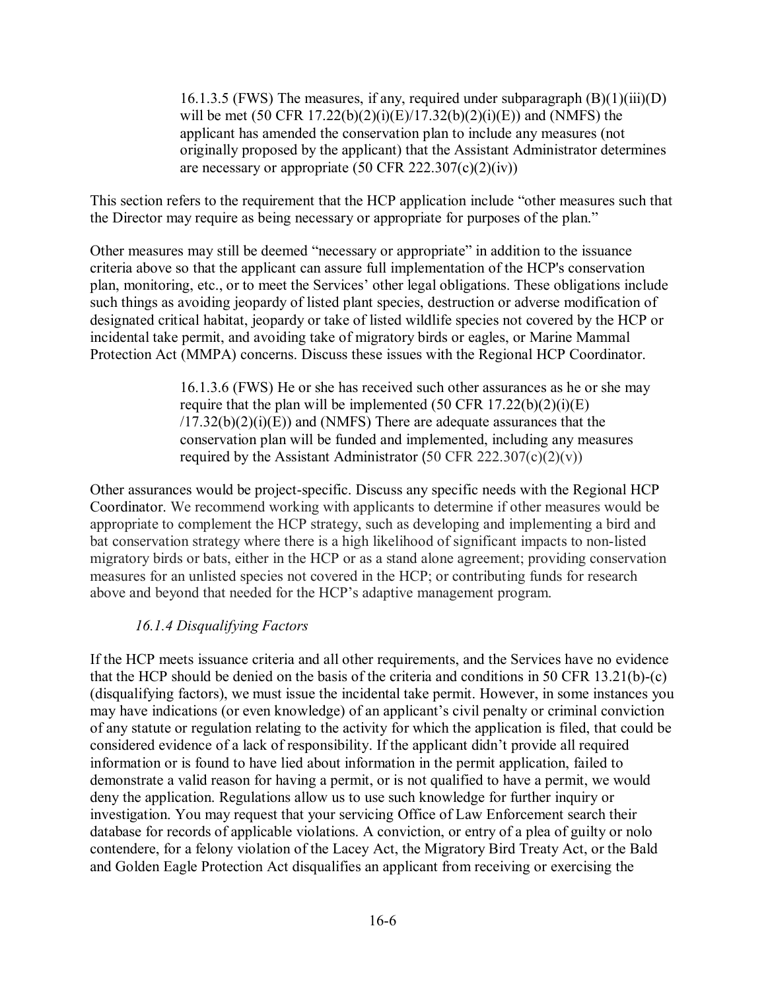$16.1.3.5$  (FWS) The measures, if any, required under subparagraph  $(B)(1)(iii)(D)$ will be met  $(50 \text{ CFR } 17.22(b)(2)(i)(E)/17.32(b)(2)(i)(E))$  and (NMFS) the applicant has amended the conservation plan to include any measures (not originally proposed by the applicant) that the Assistant Administrator determines are necessary or appropriate  $(50 \text{ CFR } 222.307(c)(2)(iv))$ 

This section refers to the requirement that the HCP application include "other measures such that the Director may require as being necessary or appropriate for purposes of the plan."

Other measures may still be deemed "necessary or appropriate" in addition to the issuance criteria above so that the applicant can assure full implementation of the HCP's conservation plan, monitoring, etc., or to meet the Services' other legal obligations. These obligations include such things as avoiding jeopardy of listed plant species, destruction or adverse modification of designated critical habitat, jeopardy or take of listed wildlife species not covered by the HCP or incidental take permit, and avoiding take of migratory birds or eagles, or Marine Mammal Protection Act (MMPA) concerns. Discuss these issues with the Regional HCP Coordinator.

> 16.1.3.6 (FWS) He or she has received such other assurances as he or she may require that the plan will be implemented  $(50 \text{ CFR } 17.22(b)(2)(i)(E))$  $(17.32(b)(2)(i)(E))$  and (NMFS) There are adequate assurances that the conservation plan will be funded and implemented, including any measures required by the Assistant Administrator (50 CFR 222.307 $(c)(2)(v)$ )

Other assurances would be project-specific. Discuss any specific needs with the Regional HCP Coordinator. We recommend working with applicants to determine if other measures would be appropriate to complement the HCP strategy, such as developing and implementing a bird and bat conservation strategy where there is a high likelihood of significant impacts to non-listed migratory birds or bats, either in the HCP or as a stand alone agreement; providing conservation measures for an unlisted species not covered in the HCP; or contributing funds for research above and beyond that needed for the HCP's adaptive management program.

#### *16.1.4 Disqualifying Factors*

If the HCP meets issuance criteria and all other requirements, and the Services have no evidence that the HCP should be denied on the basis of the criteria and conditions in 50 CFR 13.21(b)-(c) (disqualifying factors), we must issue the incidental take permit. However, in some instances you may have indications (or even knowledge) of an applicant's civil penalty or criminal conviction of any statute or regulation relating to the activity for which the application is filed, that could be considered evidence of a lack of responsibility. If the applicant didn't provide all required information or is found to have lied about information in the permit application, failed to demonstrate a valid reason for having a permit, or is not qualified to have a permit, we would deny the application. Regulations allow us to use such knowledge for further inquiry or investigation. You may request that your servicing Office of Law Enforcement search their database for records of applicable violations. A conviction, or entry of a plea of guilty or nolo contendere, for a felony violation of the Lacey Act, the Migratory Bird Treaty Act, or the Bald and Golden Eagle Protection Act disqualifies an applicant from receiving or exercising the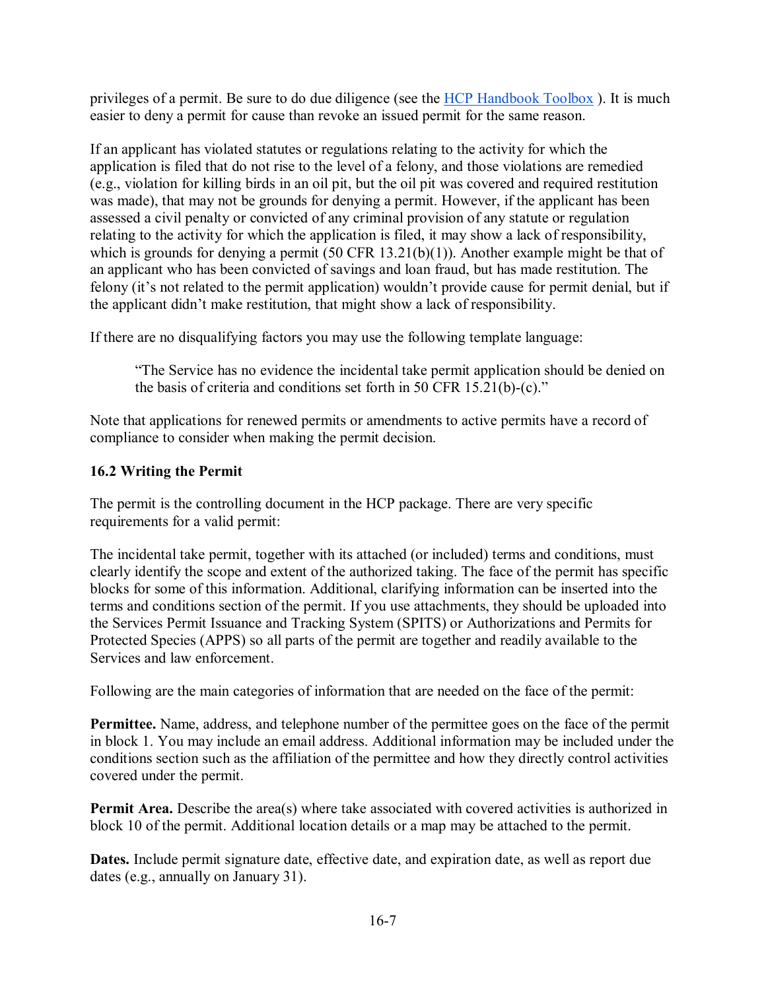privileges of a permit. Be sure to do due diligence (see the [HCP Handbook Toolbox](https://www.fws.gov/endangered/what-we-do/hcp-handbook-toolbox.html#Ch16) ). It is much easier to deny a permit for cause than revoke an issued permit for the same reason.

If an applicant has violated statutes or regulations relating to the activity for which the application is filed that do not rise to the level of a felony, and those violations are remedied (e.g., violation for killing birds in an oil pit, but the oil pit was covered and required restitution was made), that may not be grounds for denying a permit. However, if the applicant has been assessed a civil penalty or convicted of any criminal provision of any statute or regulation relating to the activity for which the application is filed, it may show a lack of responsibility, which is grounds for denying a permit (50 CFR 13.21(b)(1)). Another example might be that of an applicant who has been convicted of savings and loan fraud, but has made restitution. The felony (it's not related to the permit application) wouldn't provide cause for permit denial, but if the applicant didn't make restitution, that might show a lack of responsibility.

If there are no disqualifying factors you may use the following template language:

"The Service has no evidence the incidental take permit application should be denied on the basis of criteria and conditions set forth in 50 CFR 15.21(b)-(c)."

Note that applications for renewed permits or amendments to active permits have a record of compliance to consider when making the permit decision.

# **16.2 Writing the Permit**

The permit is the controlling document in the HCP package. There are very specific requirements for a valid permit:

The incidental take permit, together with its attached (or included) terms and conditions, must clearly identify the scope and extent of the authorized taking. The face of the permit has specific blocks for some of this information. Additional, clarifying information can be inserted into the terms and conditions section of the permit. If you use attachments, they should be uploaded into the Services Permit Issuance and Tracking System (SPITS) or Authorizations and Permits for Protected Species (APPS) so all parts of the permit are together and readily available to the Services and law enforcement.

Following are the main categories of information that are needed on the face of the permit:

Permittee. Name, address, and telephone number of the permittee goes on the face of the permit in block 1. You may include an email address. Additional information may be included under the conditions section such as the affiliation of the permittee and how they directly control activities covered under the permit.

**Permit Area.** Describe the area(s) where take associated with covered activities is authorized in block 10 of the permit. Additional location details or a map may be attached to the permit.

**Dates.** Include permit signature date, effective date, and expiration date, as well as report due dates (e.g., annually on January 31).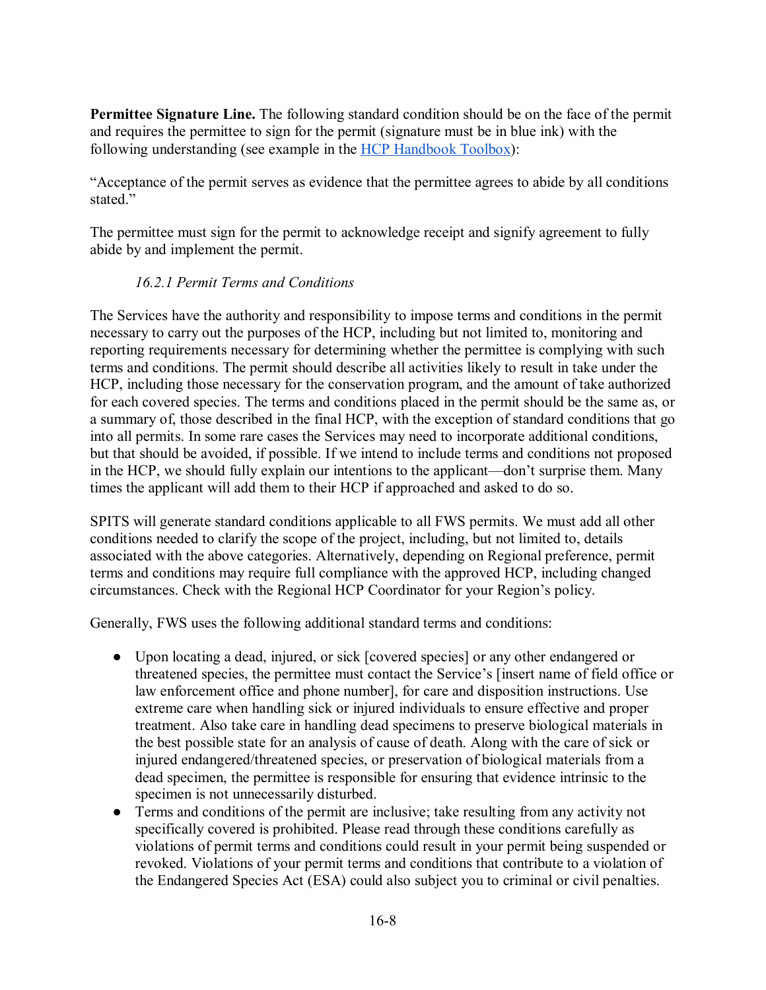**Permittee Signature Line.** The following standard condition should be on the face of the permit and requires the permittee to sign for the permit (signature must be in blue ink) with the following understanding (see example in the [HCP Handbook Toolbox\)](https://www.fws.gov/endangered/what-we-do/hcp-handbook-toolbox.html#Ch16):

"Acceptance of the permit serves as evidence that the permittee agrees to abide by all conditions stated."

The permittee must sign for the permit to acknowledge receipt and signify agreement to fully abide by and implement the permit.

#### *16.2.1 Permit Terms and Conditions*

The Services have the authority and responsibility to impose terms and conditions in the permit necessary to carry out the purposes of the HCP, including but not limited to, monitoring and reporting requirements necessary for determining whether the permittee is complying with such terms and conditions. The permit should describe all activities likely to result in take under the HCP, including those necessary for the conservation program, and the amount of take authorized for each covered species. The terms and conditions placed in the permit should be the same as, or a summary of, those described in the final HCP, with the exception of standard conditions that go into all permits. In some rare cases the Services may need to incorporate additional conditions, but that should be avoided, if possible. If we intend to include terms and conditions not proposed in the HCP, we should fully explain our intentions to the applicant—don't surprise them. Many times the applicant will add them to their HCP if approached and asked to do so.

SPITS will generate standard conditions applicable to all FWS permits. We must add all other conditions needed to clarify the scope of the project, including, but not limited to, details associated with the above categories. Alternatively, depending on Regional preference, permit terms and conditions may require full compliance with the approved HCP, including changed circumstances. Check with the Regional HCP Coordinator for your Region's policy.

Generally, FWS uses the following additional standard terms and conditions:

- Upon locating a dead, injured, or sick [covered species] or any other endangered or threatened species, the permittee must contact the Service's [insert name of field office or law enforcement office and phone number], for care and disposition instructions. Use extreme care when handling sick or injured individuals to ensure effective and proper treatment. Also take care in handling dead specimens to preserve biological materials in the best possible state for an analysis of cause of death. Along with the care of sick or injured endangered/threatened species, or preservation of biological materials from a dead specimen, the permittee is responsible for ensuring that evidence intrinsic to the specimen is not unnecessarily disturbed.
- Terms and conditions of the permit are inclusive; take resulting from any activity not specifically covered is prohibited. Please read through these conditions carefully as violations of permit terms and conditions could result in your permit being suspended or revoked. Violations of your permit terms and conditions that contribute to a violation of the Endangered Species Act (ESA) could also subject you to criminal or civil penalties.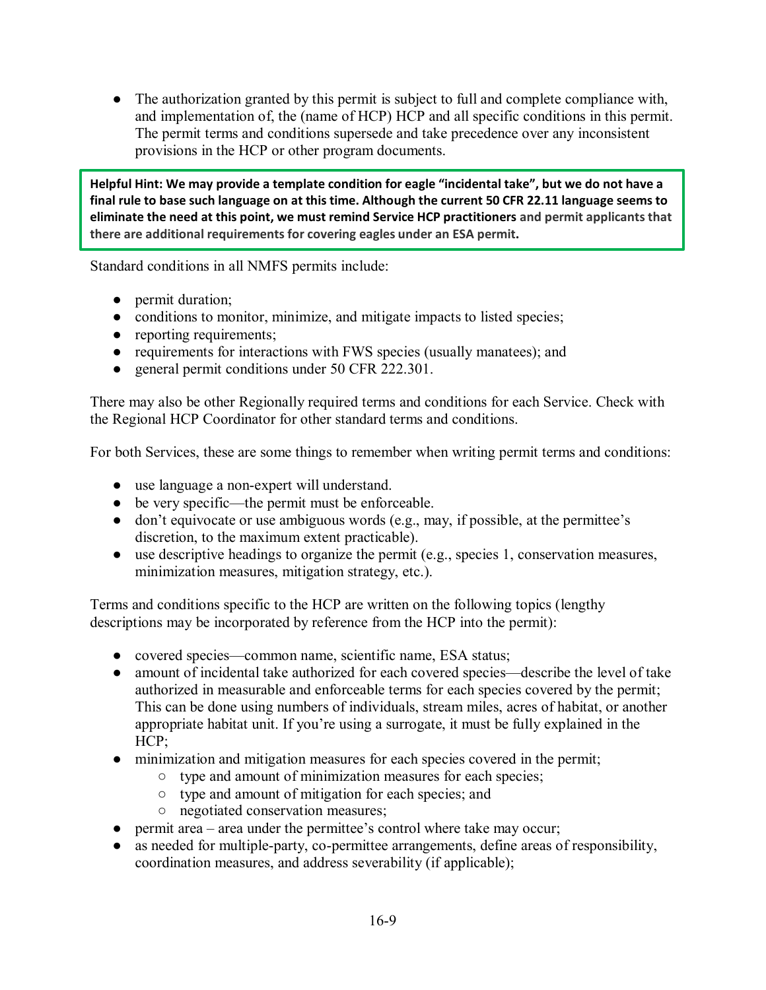● The authorization granted by this permit is subject to full and complete compliance with, and implementation of, the (name of HCP) HCP and all specific conditions in this permit. The permit terms and conditions supersede and take precedence over any inconsistent provisions in the HCP or other program documents.

**Helpful Hint: We may provide a template condition for eagle "incidental take", but we do not have a final rule to base such language on at this time. Although the current 50 CFR 22.11 language seems to eliminate the need at this point, we must remind Service HCP practitioners and permit applicants that there are additional requirements for covering eagles under an ESA permit.** 

Standard conditions in all NMFS permits include:

- permit duration;
- conditions to monitor, minimize, and mitigate impacts to listed species;
- reporting requirements;
- requirements for interactions with FWS species (usually manatees); and
- general permit conditions under 50 CFR 222.301.

There may also be other Regionally required terms and conditions for each Service. Check with the Regional HCP Coordinator for other standard terms and conditions.

For both Services, these are some things to remember when writing permit terms and conditions:

- use language a non-expert will understand.
- be very specific—the permit must be enforceable.
- $\bullet$  don't equivocate or use ambiguous words (e.g., may, if possible, at the permittee's discretion, to the maximum extent practicable).
- use descriptive headings to organize the permit (e.g., species 1, conservation measures, minimization measures, mitigation strategy, etc.).

Terms and conditions specific to the HCP are written on the following topics (lengthy descriptions may be incorporated by reference from the HCP into the permit):

- covered species—common name, scientific name, ESA status;
- amount of incidental take authorized for each covered species—describe the level of take authorized in measurable and enforceable terms for each species covered by the permit; This can be done using numbers of individuals, stream miles, acres of habitat, or another appropriate habitat unit. If you're using a surrogate, it must be fully explained in the HCP;
- minimization and mitigation measures for each species covered in the permit;
	- type and amount of minimization measures for each species;
	- type and amount of mitigation for each species; and
	- negotiated conservation measures;
- permit area area under the permittee's control where take may occur;
- as needed for multiple-party, co-permittee arrangements, define areas of responsibility, coordination measures, and address severability (if applicable);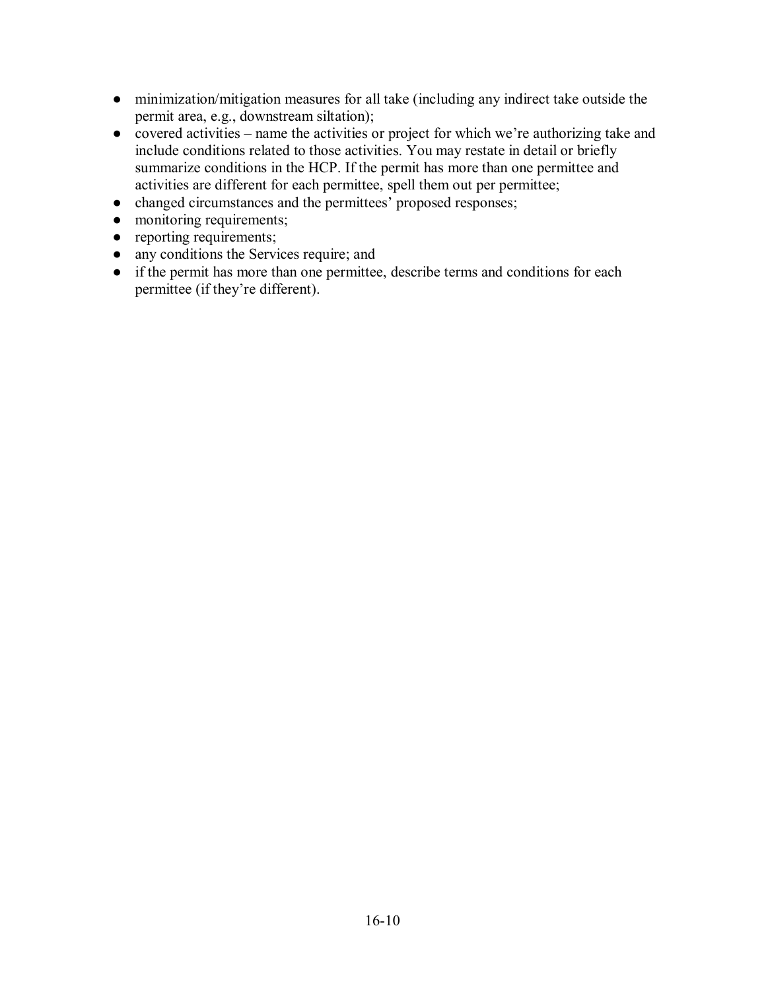- minimization/mitigation measures for all take (including any indirect take outside the permit area, e.g., downstream siltation);
- covered activities name the activities or project for which we're authorizing take and include conditions related to those activities. You may restate in detail or briefly summarize conditions in the HCP. If the permit has more than one permittee and activities are different for each permittee, spell them out per permittee;
- changed circumstances and the permittees' proposed responses;
- monitoring requirements;
- reporting requirements;
- any conditions the Services require; and
- if the permit has more than one permittee, describe terms and conditions for each permittee (if they're different).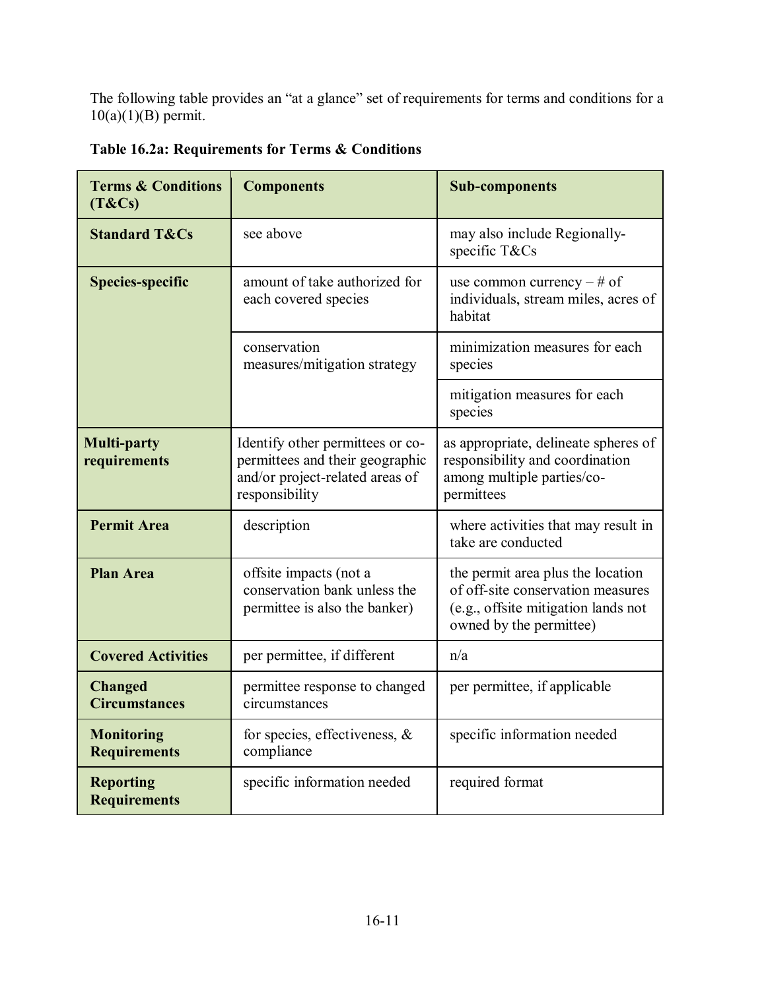The following table provides an "at a glance" set of requirements for terms and conditions for a  $10(a)(1)(B)$  permit.

| <b>Terms &amp; Conditions</b><br>(T&Cs)  | <b>Components</b>                                                                                                        | <b>Sub-components</b>                                                                                                                    |
|------------------------------------------|--------------------------------------------------------------------------------------------------------------------------|------------------------------------------------------------------------------------------------------------------------------------------|
| <b>Standard T&amp;Cs</b>                 | see above                                                                                                                | may also include Regionally-<br>specific T&Cs                                                                                            |
| <b>Species-specific</b>                  | amount of take authorized for<br>each covered species                                                                    | use common currency $-$ # of<br>individuals, stream miles, acres of<br>habitat                                                           |
|                                          | conservation<br>measures/mitigation strategy                                                                             | minimization measures for each<br>species                                                                                                |
|                                          |                                                                                                                          | mitigation measures for each<br>species                                                                                                  |
| <b>Multi-party</b><br>requirements       | Identify other permittees or co-<br>permittees and their geographic<br>and/or project-related areas of<br>responsibility | as appropriate, delineate spheres of<br>responsibility and coordination<br>among multiple parties/co-<br>permittees                      |
| <b>Permit Area</b>                       | description                                                                                                              | where activities that may result in<br>take are conducted                                                                                |
| <b>Plan Area</b>                         | offsite impacts (not a<br>conservation bank unless the<br>permittee is also the banker)                                  | the permit area plus the location<br>of off-site conservation measures<br>(e.g., offsite mitigation lands not<br>owned by the permittee) |
| <b>Covered Activities</b>                | per permittee, if different                                                                                              | n/a                                                                                                                                      |
| <b>Changed</b><br><b>Circumstances</b>   | permittee response to changed<br>circumstances                                                                           | per permittee, if applicable                                                                                                             |
| <b>Monitoring</b><br><b>Requirements</b> | for species, effectiveness, $\&$<br>compliance                                                                           | specific information needed                                                                                                              |
| <b>Reporting</b><br><b>Requirements</b>  | specific information needed                                                                                              | required format                                                                                                                          |

**Table 16.2a: Requirements for Terms & Conditions**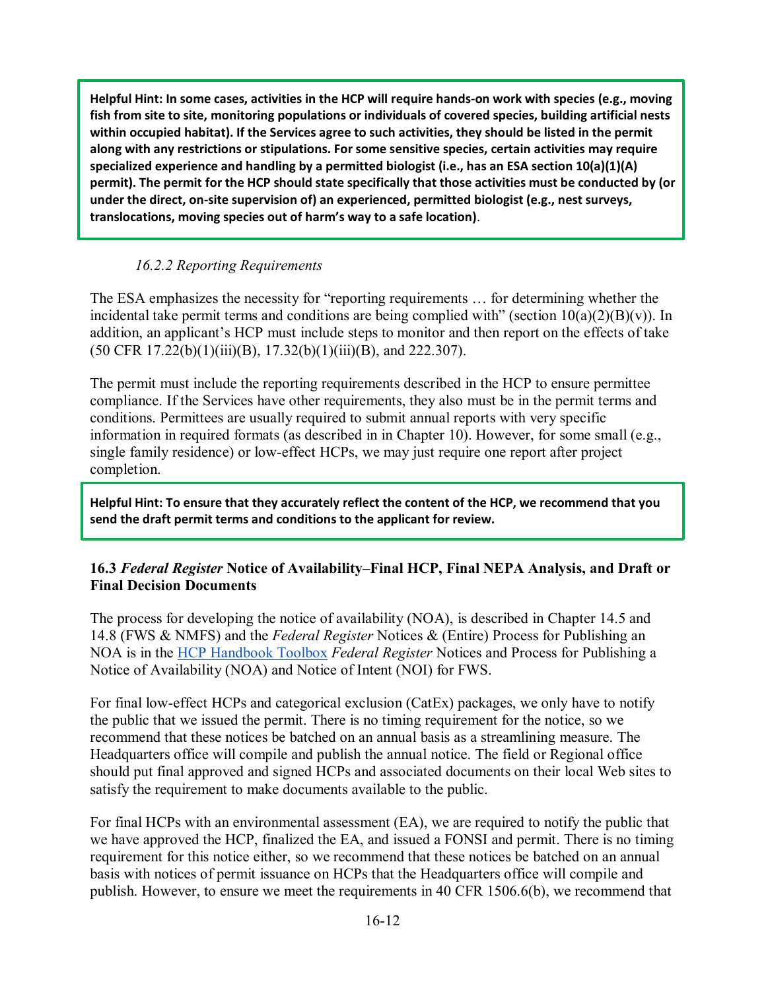**Helpful Hint: In some cases, activities in the HCP will require hands-on work with species (e.g., moving fish from site to site, monitoring populations or individuals of covered species, building artificial nests within occupied habitat). If the Services agree to such activities, they should be listed in the permit along with any restrictions or stipulations. For some sensitive species, certain activities may require specialized experience and handling by a permitted biologist (i.e., has an ESA section 10(a)(1)(A) permit). The permit for the HCP should state specifically that those activities must be conducted by (or under the direct, on-site supervision of) an experienced, permitted biologist (e.g., nest surveys, translocations, moving species out of harm's way to a safe location)**.

#### *16.2.2 Reporting Requirements*

The ESA emphasizes the necessity for "reporting requirements … for determining whether the incidental take permit terms and conditions are being complied with" (section  $10(a)(2)(B)(v)$ ). In addition, an applicant's HCP must include steps to monitor and then report on the effects of take (50 CFR 17.22(b)(1)(iii)(B), 17.32(b)(1)(iii)(B), and 222.307).

The permit must include the reporting requirements described in the HCP to ensure permittee compliance. If the Services have other requirements, they also must be in the permit terms and conditions. Permittees are usually required to submit annual reports with very specific information in required formats (as described in in Chapter 10). However, for some small (e.g., single family residence) or low-effect HCPs, we may just require one report after project completion.

**Helpful Hint: To ensure that they accurately reflect the content of the HCP, we recommend that you send the draft permit terms and conditions to the applicant for review.** 

#### **16.3** *Federal Register* **Notice of Availability–Final HCP, Final NEPA Analysis, and Draft or Final Decision Documents**

The process for developing the notice of availability (NOA), is described in Chapter 14.5 and 14.8 (FWS & NMFS) and the *Federal Register* Notices & (Entire) Process for Publishing an NOA is in the [HCP Handbook Toolbox](https://www.fws.gov/endangered/what-we-do/hcp-handbook-toolbox.html#Ch16) *Federal Register* Notices and Process for Publishing a Notice of Availability (NOA) and Notice of Intent (NOI) for FWS.

For final low-effect HCPs and categorical exclusion (CatEx) packages, we only have to notify the public that we issued the permit. There is no timing requirement for the notice, so we recommend that these notices be batched on an annual basis as a streamlining measure. The Headquarters office will compile and publish the annual notice. The field or Regional office should put final approved and signed HCPs and associated documents on their local Web sites to satisfy the requirement to make documents available to the public.

For final HCPs with an environmental assessment (EA), we are required to notify the public that we have approved the HCP, finalized the EA, and issued a FONSI and permit. There is no timing requirement for this notice either, so we recommend that these notices be batched on an annual basis with notices of permit issuance on HCPs that the Headquarters office will compile and publish. However, to ensure we meet the requirements in 40 CFR 1506.6(b), we recommend that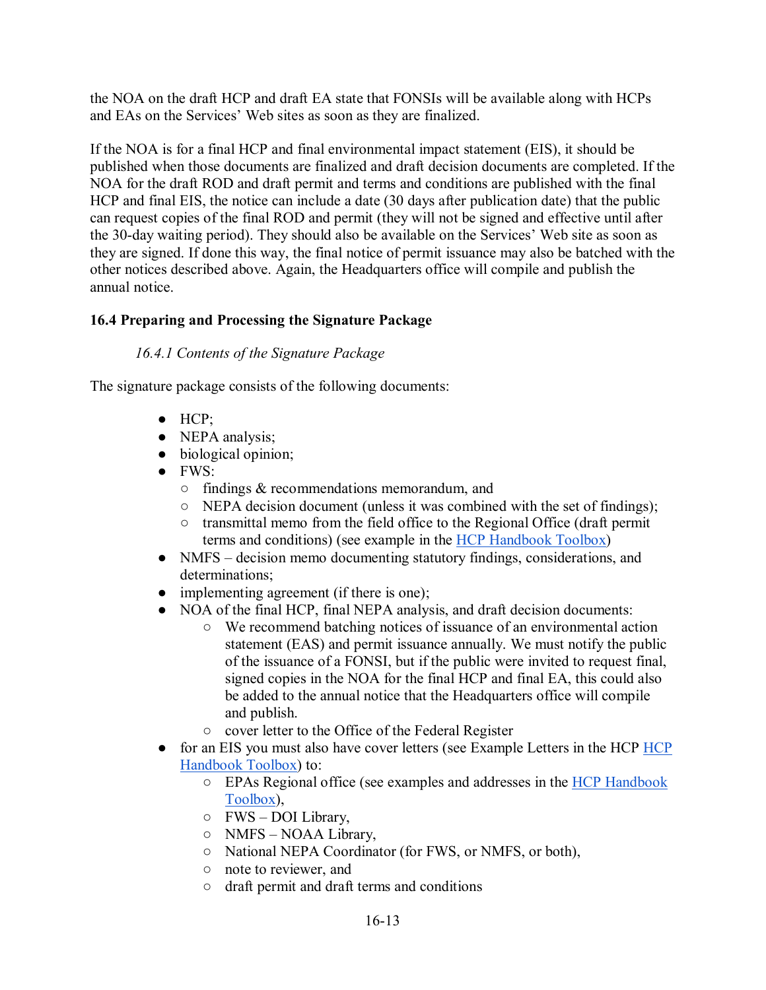the NOA on the draft HCP and draft EA state that FONSIs will be available along with HCPs and EAs on the Services' Web sites as soon as they are finalized.

If the NOA is for a final HCP and final environmental impact statement (EIS), it should be published when those documents are finalized and draft decision documents are completed. If the NOA for the draft ROD and draft permit and terms and conditions are published with the final HCP and final EIS, the notice can include a date (30 days after publication date) that the public can request copies of the final ROD and permit (they will not be signed and effective until after the 30-day waiting period). They should also be available on the Services' Web site as soon as they are signed. If done this way, the final notice of permit issuance may also be batched with the other notices described above. Again, the Headquarters office will compile and publish the annual notice.

# **16.4 Preparing and Processing the Signature Package**

# *16.4.1 Contents of the Signature Package*

The signature package consists of the following documents:

- $\bullet$  HCP:
- NEPA analysis;
- biological opinion;
- FWS:
	- findings & recommendations memorandum, and
	- NEPA decision document (unless it was combined with the set of findings);
	- transmittal memo from the field office to the Regional Office (draft permit terms and conditions) (see example in the [HCP Handbook Toolbox\)](https://www.fws.gov/endangered/what-we-do/hcp-handbook-toolbox.html#Ch16)
- NMFS decision memo documenting statutory findings, considerations, and determinations;
- implementing agreement (if there is one);
- NOA of the final HCP, final NEPA analysis, and draft decision documents:
	- We recommend batching notices of issuance of an environmental action statement (EAS) and permit issuance annually. We must notify the public of the issuance of a FONSI, but if the public were invited to request final, signed copies in the NOA for the final HCP and final EA, this could also be added to the annual notice that the Headquarters office will compile and publish.
	- cover letter to the Office of the Federal Register
- for an EIS you must also have cover letters (see Example Letters in the [HCP](https://www.fws.gov/endangered/what-we-do/hcp-handbook-toolbox.html#Ch16) HCP [Handbook Toolbox\)](https://www.fws.gov/endangered/what-we-do/hcp-handbook-toolbox.html#Ch16) to:
	- EPAs Regional office (see examples and addresses in the HCP Handbook [Toolbox\)](https://www.fws.gov/endangered/what-we-do/hcp-handbook-toolbox.html#Ch16),
	- FWS DOI Library,
	- NMFS NOAA Library,
	- National NEPA Coordinator (for FWS, or NMFS, or both),
	- note to reviewer, and
	- draft permit and draft terms and conditions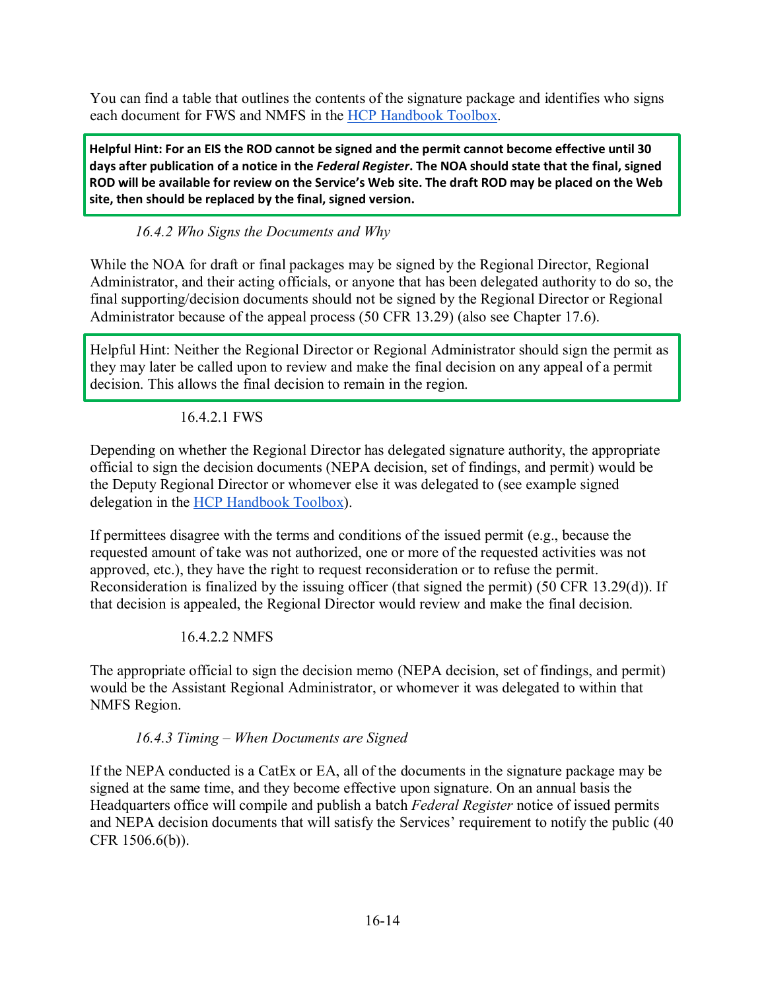You can find a table that outlines the contents of the signature package and identifies who signs each document for FWS and NMFS in the [HCP Handbook Toolbox.](https://www.fws.gov/endangered/what-we-do/hcp-handbook-toolbox.html#Ch16)

**Helpful Hint: For an EIS the ROD cannot be signed and the permit cannot become effective until 30 days after publication of a notice in the** *Federal Register***. The NOA should state that the final, signed ROD will be available for review on the Service's Web site. The draft ROD may be placed on the Web site, then should be replaced by the final, signed version.**

# *16.4.2 Who Signs the Documents and Why*

While the NOA for draft or final packages may be signed by the Regional Director, Regional Administrator, and their acting officials, or anyone that has been delegated authority to do so, the final supporting/decision documents should not be signed by the Regional Director or Regional Administrator because of the appeal process (50 CFR 13.29) (also see Chapter 17.6).

Helpful Hint: Neither the Regional Director or Regional Administrator should sign the permit as they may later be called upon to review and make the final decision on any appeal of a permit decision. This allows the final decision to remain in the region.

# 16.4.2.1 FWS

j

Depending on whether the Regional Director has delegated signature authority, the appropriate official to sign the decision documents (NEPA decision, set of findings, and permit) would be the Deputy Regional Director or whomever else it was delegated to (see example signed delegation in the [HCP Handbook Toolbox\)](https://www.fws.gov/endangered/what-we-do/hcp-handbook-toolbox.html#Ch16).

If permittees disagree with the terms and conditions of the issued permit (e.g., because the requested amount of take was not authorized, one or more of the requested activities was not approved, etc.), they have the right to request reconsideration or to refuse the permit. Reconsideration is finalized by the issuing officer (that signed the permit) (50 CFR 13.29(d)). If that decision is appealed, the Regional Director would review and make the final decision.

# 16.4.2.2 NMFS

The appropriate official to sign the decision memo (NEPA decision, set of findings, and permit) would be the Assistant Regional Administrator, or whomever it was delegated to within that NMFS Region.

#### *16.4.3 Timing – When Documents are Signed*

If the NEPA conducted is a CatEx or EA, all of the documents in the signature package may be signed at the same time, and they become effective upon signature. On an annual basis the Headquarters office will compile and publish a batch *Federal Register* notice of issued permits and NEPA decision documents that will satisfy the Services' requirement to notify the public (40 CFR 1506.6(b)).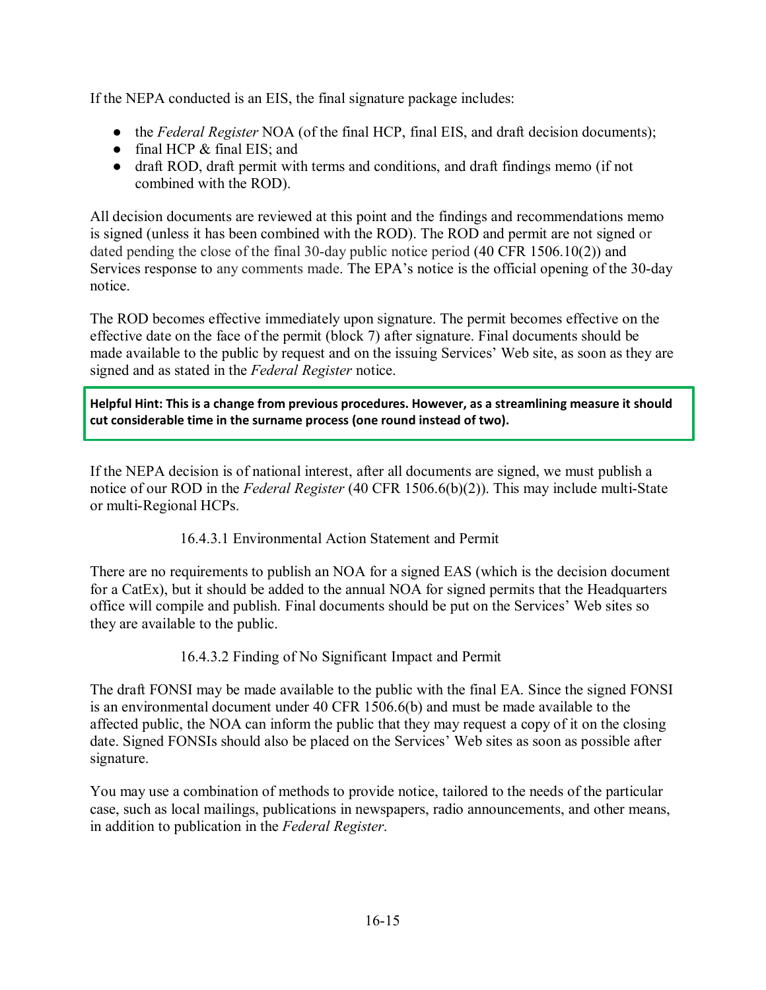If the NEPA conducted is an EIS, the final signature package includes:

- the *Federal Register* NOA (of the final HCP, final EIS, and draft decision documents);
- $\bullet$  final HCP & final EIS; and
- draft ROD, draft permit with terms and conditions, and draft findings memo (if not combined with the ROD).

All decision documents are reviewed at this point and the findings and recommendations memo is signed (unless it has been combined with the ROD). The ROD and permit are not signed or dated pending the close of the final 30-day public notice period (40 CFR 1506.10(2)) and Services response to any comments made. The EPA's notice is the official opening of the 30-day notice.

The ROD becomes effective immediately upon signature. The permit becomes effective on the effective date on the face of the permit (block 7) after signature. Final documents should be made available to the public by request and on the issuing Services' Web site, as soon as they are signed and as stated in the *Federal Register* notice.

**Helpful Hint: This is a change from previous procedures. However, as a streamlining measure it should cut considerable time in the surname process (one round instead of two).**

If the NEPA decision is of national interest, after all documents are signed, we must publish a notice of our ROD in the *Federal Register* (40 CFR 1506.6(b)(2)). This may include multi-State or multi-Regional HCPs.

#### 16.4.3.1 Environmental Action Statement and Permit

There are no requirements to publish an NOA for a signed EAS (which is the decision document for a CatEx), but it should be added to the annual NOA for signed permits that the Headquarters office will compile and publish. Final documents should be put on the Services' Web sites so they are available to the public.

16.4.3.2 Finding of No Significant Impact and Permit

The draft FONSI may be made available to the public with the final EA. Since the signed FONSI is an environmental document under 40 CFR 1506.6(b) and must be made available to the affected public, the NOA can inform the public that they may request a copy of it on the closing date. Signed FONSIs should also be placed on the Services' Web sites as soon as possible after signature.

You may use a combination of methods to provide notice, tailored to the needs of the particular case, such as local mailings, publications in newspapers, radio announcements, and other means, in addition to publication in the *Federal Register*.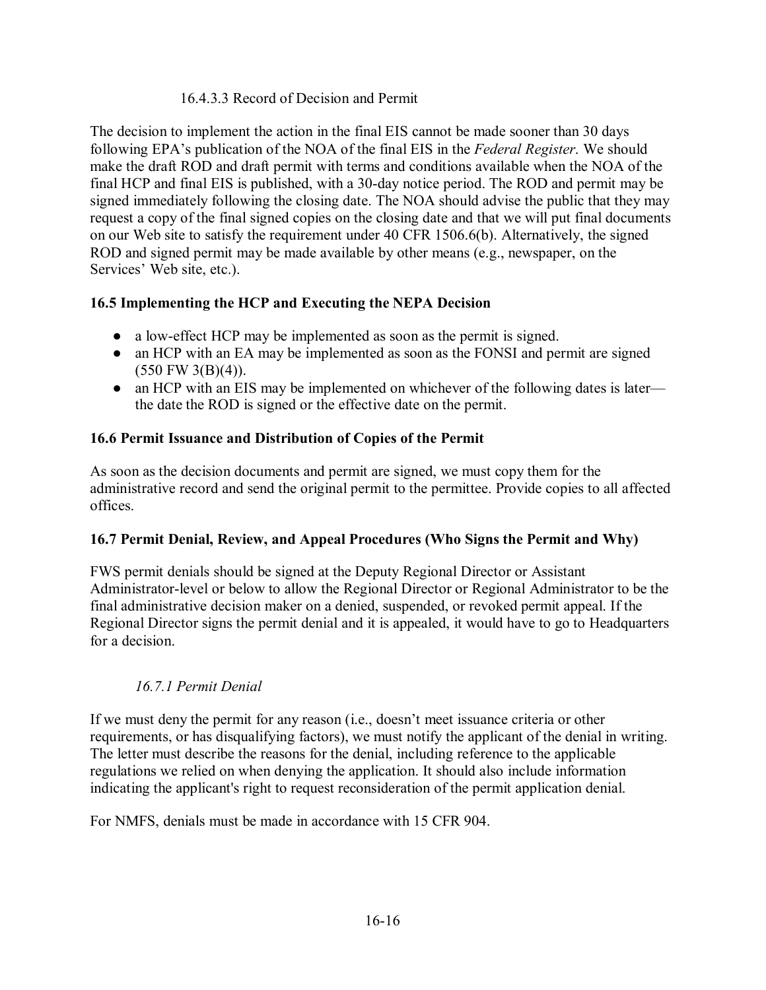#### 16.4.3.3 Record of Decision and Permit

The decision to implement the action in the final EIS cannot be made sooner than 30 days following EPA's publication of the NOA of the final EIS in the *Federal Register*. We should make the draft ROD and draft permit with terms and conditions available when the NOA of the final HCP and final EIS is published, with a 30-day notice period. The ROD and permit may be signed immediately following the closing date. The NOA should advise the public that they may request a copy of the final signed copies on the closing date and that we will put final documents on our Web site to satisfy the requirement under 40 CFR 1506.6(b). Alternatively, the signed ROD and signed permit may be made available by other means (e.g., newspaper, on the Services' Web site, etc.).

# **16.5 Implementing the HCP and Executing the NEPA Decision**

- a low-effect HCP may be implemented as soon as the permit is signed.
- an HCP with an EA may be implemented as soon as the FONSI and permit are signed  $(550 \text{ FW } 3(B)(4)).$
- an HCP with an EIS may be implemented on whichever of the following dates is later the date the ROD is signed or the effective date on the permit.

#### **16.6 Permit Issuance and Distribution of Copies of the Permit**

As soon as the decision documents and permit are signed, we must copy them for the administrative record and send the original permit to the permittee. Provide copies to all affected offices.

#### **16.7 Permit Denial, Review, and Appeal Procedures (Who Signs the Permit and Why)**

FWS permit denials should be signed at the Deputy Regional Director or Assistant Administrator-level or below to allow the Regional Director or Regional Administrator to be the final administrative decision maker on a denied, suspended, or revoked permit appeal. If the Regional Director signs the permit denial and it is appealed, it would have to go to Headquarters for a decision.

# *16.7.1 Permit Denial*

If we must deny the permit for any reason (i.e., doesn't meet issuance criteria or other requirements, or has disqualifying factors), we must notify the applicant of the denial in writing. The letter must describe the reasons for the denial, including reference to the applicable regulations we relied on when denying the application. It should also include information indicating the applicant's right to request reconsideration of the permit application denial.

For NMFS, denials must be made in accordance with 15 CFR 904.